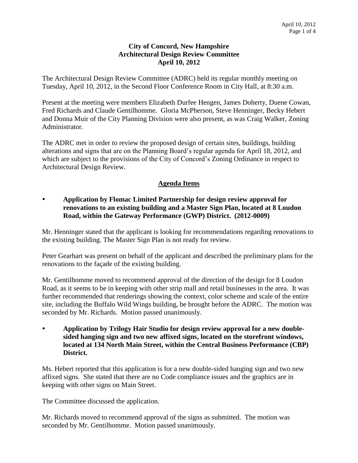### **City of Concord, New Hampshire Architectural Design Review Committee April 10, 2012**

The Architectural Design Review Committee (ADRC) held its regular monthly meeting on Tuesday, April 10, 2012, in the Second Floor Conference Room in City Hall, at 8:30 a.m.

Present at the meeting were members Elizabeth Durfee Hengen, James Doherty, Duene Cowan, Fred Richards and Claude Gentilhomme. Gloria McPherson, Steve Henninger, Becky Hebert and Donna Muir of the City Planning Division were also present, as was Craig Walker, Zoning Administrator.

The ADRC met in order to review the proposed design of certain sites, buildings, building alterations and signs that are on the Planning Board's regular agenda for April 18, 2012, and which are subject to the provisions of the City of Concord's Zoning Ordinance in respect to Architectural Design Review.

# **Agenda Items**

# **Application by Flomac Limited Partnership for design review approval for renovations to an existing building and a Master Sign Plan, located at 8 Loudon Road, within the Gateway Performance (GWP) District. (2012-0009)**

Mr. Henninger stated that the applicant is looking for recommendations regarding renovations to the existing building. The Master Sign Plan is not ready for review.

Peter Gearhart was present on behalf of the applicant and described the preliminary plans for the renovations to the façade of the existing building.

Mr. Gentilhomme moved to recommend approval of the direction of the design for 8 Loudon Road, as it seems to be in keeping with other strip mall and retail businesses in the area. It was further recommended that renderings showing the context, color scheme and scale of the entire site, including the Buffalo Wild Wings building, be brought before the ADRC. The motion was seconded by Mr. Richards. Motion passed unanimously.

 **Application by Trilogy Hair Studio for design review approval for a new doublesided hanging sign and two new affixed signs, located on the storefront windows, located at 134 North Main Street, within the Central Business Performance (CBP) District.**

Ms. Hebert reported that this application is for a new double-sided hanging sign and two new affixed signs. She stated that there are no Code compliance issues and the graphics are in keeping with other signs on Main Street.

The Committee discussed the application.

Mr. Richards moved to recommend approval of the signs as submitted. The motion was seconded by Mr. Gentilhomme. Motion passed unanimously.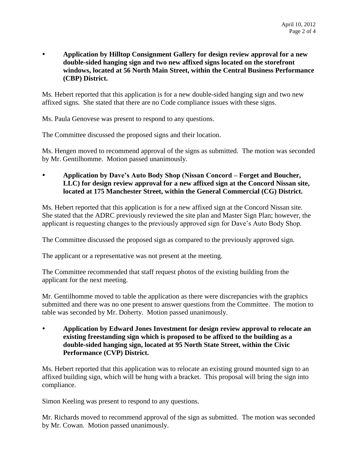**Application by Hilltop Consignment Gallery for design review approval for a new double-sided hanging sign and two new affixed signs located on the storefront windows, located at 56 North Main Street, within the Central Business Performance (CBP) District.**

Ms. Hebert reported that this application is for a new double-sided hanging sign and two new affixed signs. She stated that there are no Code compliance issues with these signs.

Ms. Paula Genovese was present to respond to any questions.

The Committee discussed the proposed signs and their location.

Ms. Hengen moved to recommend approval of the signs as submitted. The motion was seconded by Mr. Gentilhomme. Motion passed unanimously.

 **Application by Dave's Auto Body Shop (Nissan Concord – Forget and Boucher, LLC) for design review approval for a new affixed sign at the Concord Nissan site, located at 175 Manchester Street, within the General Commercial (CG) District.** 

Ms. Hebert reported that this application is for a new affixed sign at the Concord Nissan site. She stated that the ADRC previously reviewed the site plan and Master Sign Plan; however, the applicant is requesting changes to the previously approved sign for Dave's Auto Body Shop.

The Committee discussed the proposed sign as compared to the previously approved sign.

The applicant or a representative was not present at the meeting.

The Committee recommended that staff request photos of the existing building from the applicant for the next meeting.

Mr. Gentilhomme moved to table the application as there were discrepancies with the graphics submitted and there was no one present to answer questions from the Committee. The motion to table was seconded by Mr. Doherty. Motion passed unanimously.

 **Application by Edward Jones Investment for design review approval to relocate an existing freestanding sign which is proposed to be affixed to the building as a double-sided hanging sign, located at 95 North State Street, within the Civic Performance (CVP) District.**

Ms. Hebert reported that this application was to relocate an existing ground mounted sign to an affixed building sign, which will be hung with a bracket. This proposal will bring the sign into compliance.

Simon Keeling was present to respond to any questions.

Mr. Richards moved to recommend approval of the sign as submitted. The motion was seconded by Mr. Cowan. Motion passed unanimously.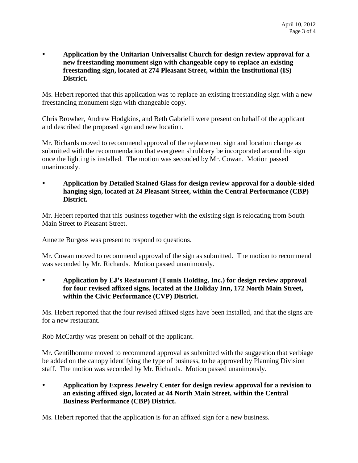**Application by the Unitarian Universalist Church for design review approval for a new freestanding monument sign with changeable copy to replace an existing freestanding sign, located at 274 Pleasant Street, within the Institutional (IS) District.**

Ms. Hebert reported that this application was to replace an existing freestanding sign with a new freestanding monument sign with changeable copy.

Chris Browher, Andrew Hodgkins, and Beth Gabrielli were present on behalf of the applicant and described the proposed sign and new location.

Mr. Richards moved to recommend approval of the replacement sign and location change as submitted with the recommendation that evergreen shrubbery be incorporated around the sign once the lighting is installed. The motion was seconded by Mr. Cowan. Motion passed unanimously.

 **Application by Detailed Stained Glass for design review approval for a double-sided hanging sign, located at 24 Pleasant Street, within the Central Performance (CBP) District.** 

Mr. Hebert reported that this business together with the existing sign is relocating from South Main Street to Pleasant Street.

Annette Burgess was present to respond to questions.

Mr. Cowan moved to recommend approval of the sign as submitted. The motion to recommend was seconded by Mr. Richards. Motion passed unanimously.

 **Application by EJ's Restaurant (Tsunis Holding, Inc.) for design review approval for four revised affixed signs, located at the Holiday Inn, 172 North Main Street, within the Civic Performance (CVP) District.**

Ms. Hebert reported that the four revised affixed signs have been installed, and that the signs are for a new restaurant.

Rob McCarthy was present on behalf of the applicant.

Mr. Gentilhomme moved to recommend approval as submitted with the suggestion that verbiage be added on the canopy identifying the type of business, to be approved by Planning Division staff. The motion was seconded by Mr. Richards. Motion passed unanimously.

 **Application by Express Jewelry Center for design review approval for a revision to an existing affixed sign, located at 44 North Main Street, within the Central Business Performance (CBP) District.**

Ms. Hebert reported that the application is for an affixed sign for a new business.